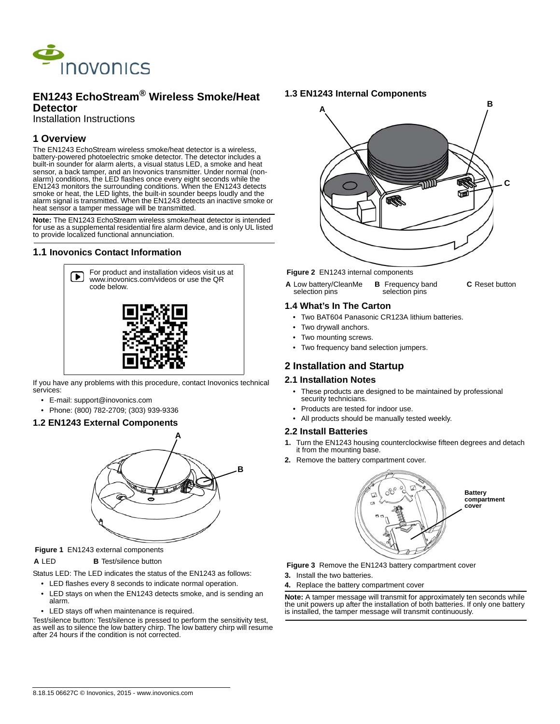

# **EN1243 EchoStream® Wireless Smoke/Heat Detector**

Installation Instructions

# **1 Overview**

The EN1243 EchoStream wireless smoke/heat detector is a wireless, battery-powered photoelectric smoke detector. The detector includes a built-in sounder for alarm alerts, a visual status LED, a smoke and heat sensor, a back tamper, and an Inovonics transmitter. Under normal (nonalarm) conditions, the LED flashes once every eight seconds while the EN1243 monitors the surrounding conditions. When the EN1243 detects smoke or heat, the LED lights, the built-in sounder beeps loudly and the alarm signal is transmitted. When the EN1243 detects an inactive smoke or heat sensor a tamper message will be transmitted.

**Note:** The EN1243 EchoStream wireless smoke/heat detector is intended for use as a supplemental residential fire alarm device, and is only UL listed to provide localized functional annunciation.

### **1.1 Inovonics Contact Information**



If you have any problems with this procedure, contact Inovonics technical services:

- E-mail: support@inovonics.com
- Phone: (800) 782-2709; (303) 939-9336

### **1.2 EN1243 External Components**



### **Figure 1** EN1243 external components

#### **A** LED **B** Test/silence button

Status LED: The LED indicates the status of the EN1243 as follows:

- LED flashes every 8 seconds to indicate normal operation.
- LED stays on when the EN1243 detects smoke, and is sending an alarm.
- LED stays off when maintenance is required.

Test/silence button: Test/silence is pressed to perform the sensitivity test, as well as to silence the low battery chirp. The low battery chirp will resume after 24 hours if the condition is not corrected.

## **1.3 EN1243 Internal Components**



#### **Figure 2** EN1243 internal components

**A** Low battery/CleanMe selection pins **B** Frequency band selection pins **C** Reset button

### **1.4 What's In The Carton**

- Two BAT604 Panasonic CR123A lithium batteries.
- Two drywall anchors.
- Two mounting screws.
- Two frequency band selection jumpers.

# **2 Installation and Startup**

### **2.1 Installation Notes**

- These products are designed to be maintained by professional security technicians.
- Products are tested for indoor use.
- All products should be manually tested weekly.

#### **2.2 Install Batteries**

- **1.** Turn the EN1243 housing counterclockwise fifteen degrees and detach it from the mounting base.
- **2.** Remove the battery compartment cover.



 **Figure 3** Remove the EN1243 battery compartment cover

- **3.** Install the two batteries.
- **4.** Replace the battery compartment cover

**Note:** A tamper message will transmit for approximately ten seconds while the unit powers up after the installation of both batteries. If only one battery is installed, the tamper message will transmit continuously.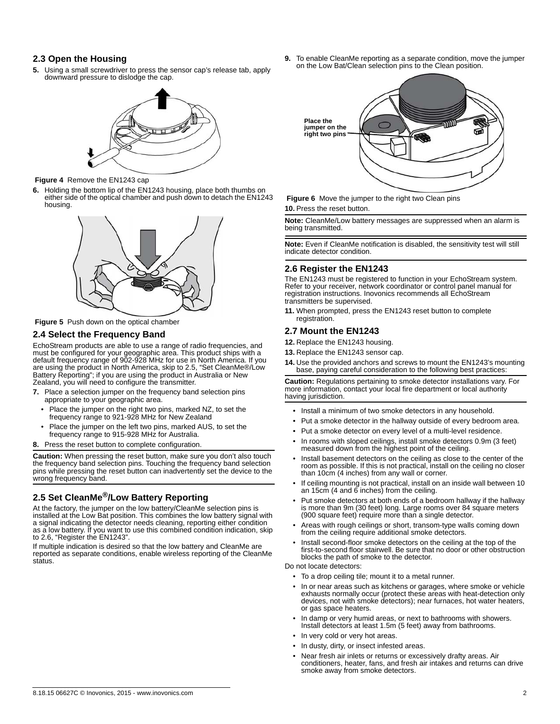### **2.3 Open the Housing**

**5.** Using a small screwdriver to press the sensor cap's release tab, apply downward pressure to dislodge the cap.



 **Figure 4** Remove the EN1243 cap

**6.** Holding the bottom lip of the EN1243 housing, place both thumbs on either side of the optical chamber and push down to detach the EN1243 housing.



 **Figure 5** Push down on the optical chamber

### **2.4 Select the Frequency Band**

EchoStream products are able to use a range of radio frequencies, and must be configured for your geographic area. This product ships with a default frequency range of 902-928 MHz for use in North America. If you are using the product in North America, skip to 2.5, "Set CleanMe®/Low Battery Reporting"; if you are using the product in Australia or New Zealand, you will need to configure the transmitter.

- **7.** Place a selection jumper on the frequency band selection pins appropriate to your geographic area.
	- Place the jumper on the right two pins, marked NZ, to set the frequency range to 921-928 MHz for New Zealand
	- Place the jumper on the left two pins, marked AUS, to set the frequency range to 915-928 MHz for Australia.
- **8.** Press the reset button to complete configuration.

**Caution:** When pressing the reset button, make sure you don't also touch the frequency band selection pins. Touching the frequency band selection pins while pressing the reset button can inadvertently set the device to the wrong frequency band.

# **2.5 Set CleanMe®/Low Battery Reporting**

At the factory, the jumper on the low battery/CleanMe selection pins is installed at the Low Bat position. This combines the low battery signal with a signal indicating the detector needs cleaning, reporting either condition as a low battery. If you want to use this combined condition indication, skip to 2.6, "Register the EN1243".

If multiple indication is desired so that the low battery and CleanMe are reported as separate conditions, enable wireless reporting of the CleanMe status.

**9.** To enable CleanMe reporting as a separate condition, move the jumper on the Low Bat/Clean selection pins to the Clean position.



**Figure 6** Move the jumper to the right two Clean pins **10.** Press the reset button.

**Note:** CleanMe/Low battery messages are suppressed when an alarm is being transmitted.

**Note:** Even if CleanMe notification is disabled, the sensitivity test will still indicate detector condition.

### **2.6 Register the EN1243**

The EN1243 must be registered to function in your EchoStream system. Refer to your receiver, network coordinator or control panel manual for registration instructions. Inovonics recommends all EchoStream transmitters be supervised.

**11.** When prompted, press the EN1243 reset button to complete registration

### **2.7 Mount the EN1243**

- **12.** Replace the EN1243 housing.
- **13.** Replace the EN1243 sensor cap.
- **14.** Use the provided anchors and screws to mount the EN1243's mounting base, paying careful consideration to the following best practices:

**Caution:** Regulations pertaining to smoke detector installations vary. For more information, contact your local fire department or local authority having jurisdiction.

- Install a minimum of two smoke detectors in any household.
- Put a smoke detector in the hallway outside of every bedroom area.
- Put a smoke detector on every level of a multi-level residence.
- In rooms with sloped ceilings, install smoke detectors 0.9m (3 feet) measured down from the highest point of the ceiling.
- Install basement detectors on the ceiling as close to the center of the room as possible. If this is not practical, install on the ceiling no closer than 10cm (4 inches) from any wall or corner.
- If ceiling mounting is not practical, install on an inside wall between 10 an 15cm (4 and 6 inches) from the ceiling.
- Put smoke detectors at both ends of a bedroom hallway if the hallway is more than 9m (30 feet) long. Large rooms over 84 square meters (900 square feet) require more than a single detector.
- Areas with rough ceilings or short, transom-type walls coming down from the ceiling require additional smoke detectors.
- Install second-floor smoke detectors on the ceiling at the top of the first-to-second floor stairwell. Be sure that no door or other obstruction blocks the path of smoke to the detector.

#### Do not locate detectors:

- To a drop ceiling tile; mount it to a metal runner.
- In or near areas such as kitchens or garages, where smoke or vehicle exhausts normally occur (protect these areas with heat-detection only devices, not with smoke detectors); near furnaces, hot water heaters, or gas space heaters.
- In damp or very humid areas, or next to bathrooms with showers. Install detectors at least 1.5m (5 feet) away from bathrooms.
- In very cold or very hot areas.
- In dusty, dirty, or insect infested areas.
- Near fresh air inlets or returns or excessively drafty areas. Air conditioners, heater, fans, and fresh air intakes and returns can drive smoke away from smoke detectors.